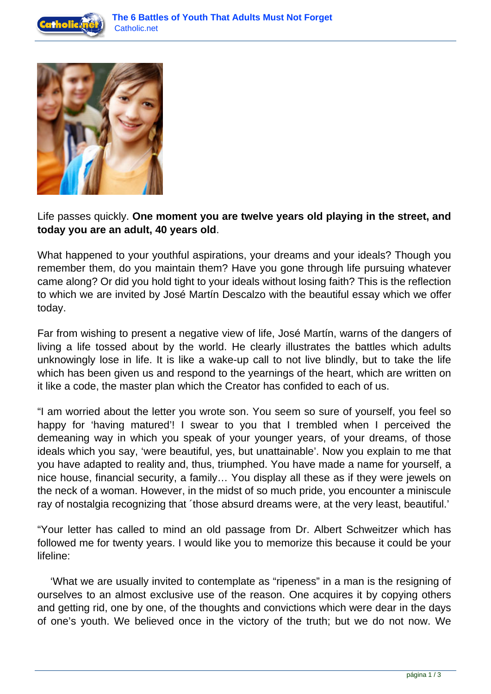



# Life passes quickly. **One moment you are twelve years old playing in the street, and today you are an adult, 40 years old**.

What happened to your youthful aspirations, your dreams and your ideals? Though you remember them, do you maintain them? Have you gone through life pursuing whatever came along? Or did you hold tight to your ideals without losing faith? This is the reflection to which we are invited by José Martín Descalzo with the beautiful essay which we offer today.

Far from wishing to present a negative view of life, José Martín, warns of the dangers of living a life tossed about by the world. He clearly illustrates the battles which adults unknowingly lose in life. It is like a wake-up call to not live blindly, but to take the life which has been given us and respond to the yearnings of the heart, which are written on it like a code, the master plan which the Creator has confided to each of us.

"I am worried about the letter you wrote son. You seem so sure of yourself, you feel so happy for 'having matured'! I swear to you that I trembled when I perceived the demeaning way in which you speak of your younger years, of your dreams, of those ideals which you say, 'were beautiful, yes, but unattainable'. Now you explain to me that you have adapted to reality and, thus, triumphed. You have made a name for yourself, a nice house, financial security, a family… You display all these as if they were jewels on the neck of a woman. However, in the midst of so much pride, you encounter a miniscule ray of nostalgia recognizing that ´those absurd dreams were, at the very least, beautiful.'

"Your letter has called to mind an old passage from Dr. Albert Schweitzer which has followed me for twenty years. I would like you to memorize this because it could be your lifeline:

 'What we are usually invited to contemplate as "ripeness" in a man is the resigning of ourselves to an almost exclusive use of the reason. One acquires it by copying others and getting rid, one by one, of the thoughts and convictions which were dear in the days of one's youth. We believed once in the victory of the truth; but we do not now. We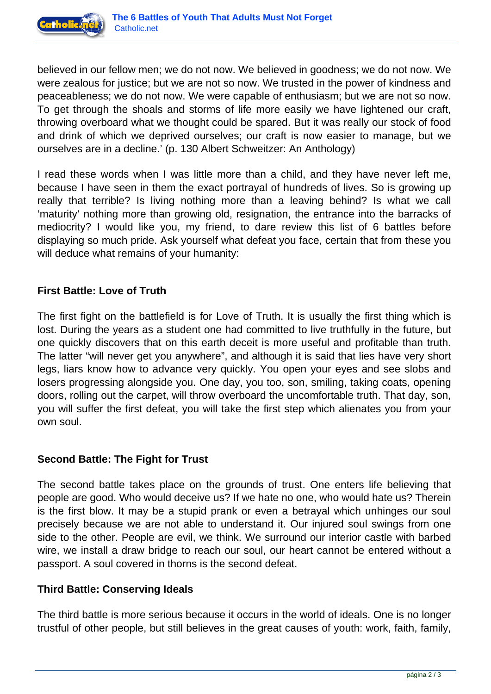

believed in our fellow men; we do not now. We believed in goodness; we do not now. We were zealous for justice; but we are not so now. We trusted in the power of kindness and peaceableness; we do not now. We were capable of enthusiasm; but we are not so now. To get through the shoals and storms of life more easily we have lightened our craft, throwing overboard what we thought could be spared. But it was really our stock of food and drink of which we deprived ourselves; our craft is now easier to manage, but we ourselves are in a decline.' (p. 130 Albert Schweitzer: An Anthology)

I read these words when I was little more than a child, and they have never left me, because I have seen in them the exact portrayal of hundreds of lives. So is growing up really that terrible? Is living nothing more than a leaving behind? Is what we call 'maturity' nothing more than growing old, resignation, the entrance into the barracks of mediocrity? I would like you, my friend, to dare review this list of 6 battles before displaying so much pride. Ask yourself what defeat you face, certain that from these you will deduce what remains of your humanity:

### **First Battle: Love of Truth**

The first fight on the battlefield is for Love of Truth. It is usually the first thing which is lost. During the years as a student one had committed to live truthfully in the future, but one quickly discovers that on this earth deceit is more useful and profitable than truth. The latter "will never get you anywhere", and although it is said that lies have very short legs, liars know how to advance very quickly. You open your eyes and see slobs and losers progressing alongside you. One day, you too, son, smiling, taking coats, opening doors, rolling out the carpet, will throw overboard the uncomfortable truth. That day, son, you will suffer the first defeat, you will take the first step which alienates you from your own soul.

### **Second Battle: The Fight for Trust**

The second battle takes place on the grounds of trust. One enters life believing that people are good. Who would deceive us? If we hate no one, who would hate us? Therein is the first blow. It may be a stupid prank or even a betrayal which unhinges our soul precisely because we are not able to understand it. Our injured soul swings from one side to the other. People are evil, we think. We surround our interior castle with barbed wire, we install a draw bridge to reach our soul, our heart cannot be entered without a passport. A soul covered in thorns is the second defeat.

# **Third Battle: Conserving Ideals**

The third battle is more serious because it occurs in the world of ideals. One is no longer trustful of other people, but still believes in the great causes of youth: work, faith, family,